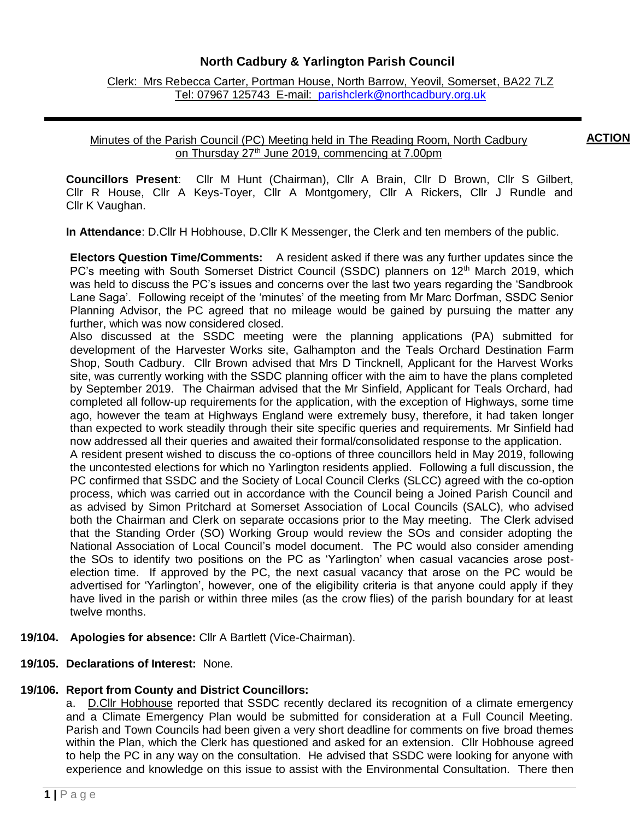## **North Cadbury & Yarlington Parish Council**

Clerk: Mrs Rebecca Carter, Portman House, North Barrow, Yeovil, Somerset, BA22 7LZ Tel: 07967 125743 E-mail: [parishclerk@northcadbury.org.uk](mailto:parishclerk@northcadbury.org.uk)

## Minutes of the Parish Council (PC) Meeting held in The Reading Room, North Cadbury on Thursday 27<sup>th</sup> June 2019, commencing at 7.00pm

**Councillors Present**: Cllr M Hunt (Chairman), Cllr A Brain, Cllr D Brown, Cllr S Gilbert, Cllr R House, Cllr A Keys-Toyer, Cllr A Montgomery, Cllr A Rickers, Cllr J Rundle and Cllr K Vaughan.

**In Attendance**: D.Cllr H Hobhouse, D.Cllr K Messenger, the Clerk and ten members of the public.

**Electors Question Time/Comments:** A resident asked if there was any further updates since the PC's meeting with South Somerset District Council (SSDC) planners on 12<sup>th</sup> March 2019, which was held to discuss the PC's issues and concerns over the last two years regarding the 'Sandbrook Lane Saga'. Following receipt of the 'minutes' of the meeting from Mr Marc Dorfman, SSDC Senior Planning Advisor, the PC agreed that no mileage would be gained by pursuing the matter any further, which was now considered closed.

Also discussed at the SSDC meeting were the planning applications (PA) submitted for development of the Harvester Works site, Galhampton and the Teals Orchard Destination Farm Shop, South Cadbury. Cllr Brown advised that Mrs D Tincknell, Applicant for the Harvest Works site, was currently working with the SSDC planning officer with the aim to have the plans completed by September 2019. The Chairman advised that the Mr Sinfield, Applicant for Teals Orchard, had completed all follow-up requirements for the application, with the exception of Highways, some time ago, however the team at Highways England were extremely busy, therefore, it had taken longer than expected to work steadily through their site specific queries and requirements. Mr Sinfield had now addressed all their queries and awaited their formal/consolidated response to the application.

A resident present wished to discuss the co-options of three councillors held in May 2019, following the uncontested elections for which no Yarlington residents applied. Following a full discussion, the PC confirmed that SSDC and the Society of Local Council Clerks (SLCC) agreed with the co-option process, which was carried out in accordance with the Council being a Joined Parish Council and as advised by Simon Pritchard at Somerset Association of Local Councils (SALC), who advised both the Chairman and Clerk on separate occasions prior to the May meeting. The Clerk advised that the Standing Order (SO) Working Group would review the SOs and consider adopting the National Association of Local Council's model document. The PC would also consider amending the SOs to identify two positions on the PC as 'Yarlington' when casual vacancies arose postelection time. If approved by the PC, the next casual vacancy that arose on the PC would be advertised for 'Yarlington', however, one of the eligibility criteria is that anyone could apply if they have lived in the parish or within three miles (as the crow flies) of the parish boundary for at least twelve months. Have lived in the parish or within 3 miles/4.8kms of the parish boundary (as the crow flies) for at least 12 months of the crow flies of the crow flies of the crow flies of the crow flies of the crow flies o

**19/104. Apologies for absence:** Cllr A Bartlett (Vice-Chairman).

## **19/105. Declarations of Interest:** None.

### **19/106. Report from County and District Councillors:**

a. D.Cllr Hobhouse reported that SSDC recently declared its recognition of a climate emergency and a Climate Emergency Plan would be submitted for consideration at a Full Council Meeting. Parish and Town Councils had been given a very short deadline for comments on five broad themes within the Plan, which the Clerk has questioned and asked for an extension. Cllr Hobhouse agreed to help the PC in any way on the consultation. He advised that SSDC were looking for anyone with experience and knowledge on this issue to assist with the Environmental Consultation. There then

**ACTION**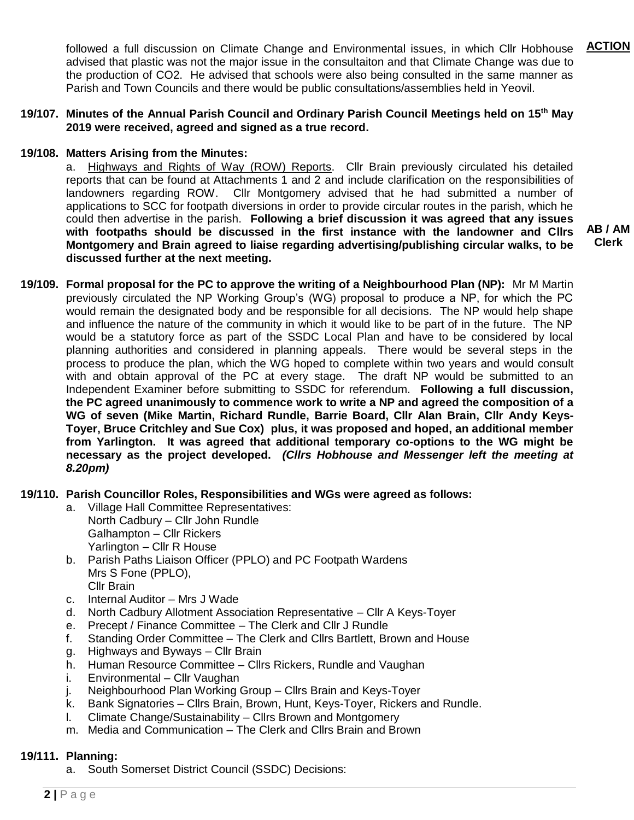followed a full discussion on Climate Change and Environmental issues, in which Cllr Hobhouse advised that plastic was not the major issue in the consultaiton and that Climate Change was due to the production of CO2. He advised that schools were also being consulted in the same manner as Parish and Town Councils and there would be public consultations/assemblies held in Yeovil. **ACTION**

### **19/107. Minutes of the Annual Parish Council and Ordinary Parish Council Meetings held on 15th May 2019 were received, agreed and signed as a true record.**

### **19/108. Matters Arising from the Minutes:**

a. Highways and Rights of Way (ROW) Reports.Cllr Brain previously circulated his detailed reports that can be found at Attachments 1 and 2 and include clarification on the responsibilities of landowners regarding ROW. Cllr Montgomery advised that he had submitted a number of applications to SCC for footpath diversions in order to provide circular routes in the parish, which he could then advertise in the parish. **Following a brief discussion it was agreed that any issues with footpaths should be discussed in the first instance with the landowner and Cllrs Montgomery and Brain agreed to liaise regarding advertising/publishing circular walks, to be discussed further at the next meeting.** 

**AB / AM Clerk**

**19/109. Formal proposal for the PC to approve the writing of a Neighbourhood Plan (NP):** Mr M Martin previously circulated the NP Working Group's (WG) proposal to produce a NP, for which the PC would remain the designated body and be responsible for all decisions. The NP would help shape and influence the nature of the community in which it would like to be part of in the future. The NP would be a statutory force as part of the SSDC Local Plan and have to be considered by local planning authorities and considered in planning appeals. There would be several steps in the process to produce the plan, which the WG hoped to complete within two years and would consult with and obtain approval of the PC at every stage. The draft NP would be submitted to an Independent Examiner before submitting to SSDC for referendum. **Following a full discussion, the PC agreed unanimously to commence work to write a NP and agreed the composition of a WG of seven (Mike Martin, Richard Rundle, Barrie Board, Cllr Alan Brain, Cllr Andy Keys-Toyer, Bruce Critchley and Sue Cox) plus, it was proposed and hoped, an additional member from Yarlington. It was agreed that additional temporary co-options to the WG might be necessary as the project developed.** *(Cllrs Hobhouse and Messenger left the meeting at 8.20pm)*

**19/110. Parish Councillor Roles, Responsibilities and WGs were agreed as follows:** 

- a. Village Hall Committee Representatives: North Cadbury – Cllr John Rundle Galhampton – Cllr Rickers Yarlington – Cllr R House
- b. Parish Paths Liaison Officer (PPLO) and PC Footpath Wardens Mrs S Fone (PPLO), Cllr Brain
- c. Internal Auditor Mrs J Wade
- d. North Cadbury Allotment Association Representative Cllr A Keys-Toyer
- e. Precept / Finance Committee The Clerk and Cllr J Rundle
- f. Standing Order Committee The Clerk and Cllrs Bartlett, Brown and House
- g. Highways and Byways Cllr Brain
- h. Human Resource Committee Cllrs Rickers, Rundle and Vaughan
- i. Environmental Cllr Vaughan
- j. Neighbourhood Plan Working Group Cllrs Brain and Keys-Toyer
- k. Bank Signatories Cllrs Brain, Brown, Hunt, Keys-Toyer, Rickers and Rundle.
- l. Climate Change/Sustainability Cllrs Brown and Montgomery
- m. Media and Communication The Clerk and Cllrs Brain and Brown

### **19/111. Planning:**

a. South Somerset District Council (SSDC) Decisions: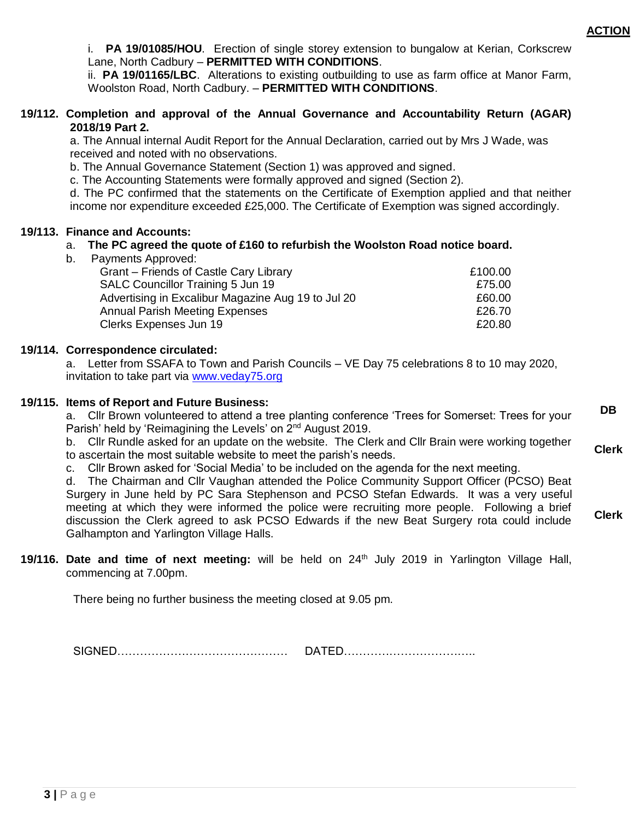i. **PA 19/01085/HOU**. Erection of single storey extension to bungalow at Kerian, Corkscrew Lane, North Cadbury – **PERMITTED WITH CONDITIONS**.

ii. **PA 19/01165/LBC**. Alterations to existing outbuilding to use as farm office at Manor Farm, Woolston Road, North Cadbury. – **PERMITTED WITH CONDITIONS**.

### **19/112. Completion and approval of the Annual Governance and Accountability Return (AGAR) 2018/19 Part 2.**

a. The Annual internal Audit Report for the Annual Declaration, carried out by Mrs J Wade, was received and noted with no observations.

b. The Annual Governance Statement (Section 1) was approved and signed.

c. The Accounting Statements were formally approved and signed (Section 2).

d. The PC confirmed that the statements on the Certificate of Exemption applied and that neither income nor expenditure exceeded £25,000. The Certificate of Exemption was signed accordingly.

### **19/113. Finance and Accounts:**

## a. **The PC agreed the quote of £160 to refurbish the Woolston Road notice board.**

b. Payments Approved:

| Grant – Friends of Castle Cary Library             | £100.00 |
|----------------------------------------------------|---------|
| <b>SALC Councillor Training 5 Jun 19</b>           | £75.00  |
| Advertising in Excalibur Magazine Aug 19 to Jul 20 | £60.00  |
| <b>Annual Parish Meeting Expenses</b>              | £26.70  |
| Clerks Expenses Jun 19                             | £20.80  |
|                                                    |         |

### **19/114. Correspondence circulated:**

a. Letter from SSAFA to Town and Parish Councils – VE Day 75 celebrations 8 to 10 may 2020, invitation to take part via [www.veday75.org](http://www.veday75.org/)

### **19/115. Items of Report and Future Business:**

a. Cllr Brown volunteered to attend a tree planting conference 'Trees for Somerset: Trees for your Parish' held by 'Reimagining the Levels' on 2<sup>nd</sup> August 2019. **DB**

b. Cllr Rundle asked for an update on the website. The Clerk and Cllr Brain were working together to ascertain the most suitable website to meet the parish's needs. **Clerk**

c. Cllr Brown asked for 'Social Media' to be included on the agenda for the next meeting.

d. The Chairman and Cllr Vaughan attended the Police Community Support Officer (PCSO) Beat Surgery in June held by PC Sara Stephenson and PCSO Stefan Edwards. It was a very useful meeting at which they were informed the police were recruiting more people. Following a brief discussion the Clerk agreed to ask PCSO Edwards if the new Beat Surgery rota could include Galhampton and Yarlington Village Halls. **Clerk**

**19/116. Date and time of next meeting:** will be held on 24 th July 2019 in Yarlington Village Hall, commencing at 7.00pm.

There being no further business the meeting closed at 9.05 pm.

SIGNED……………………………………… DATED……………………………..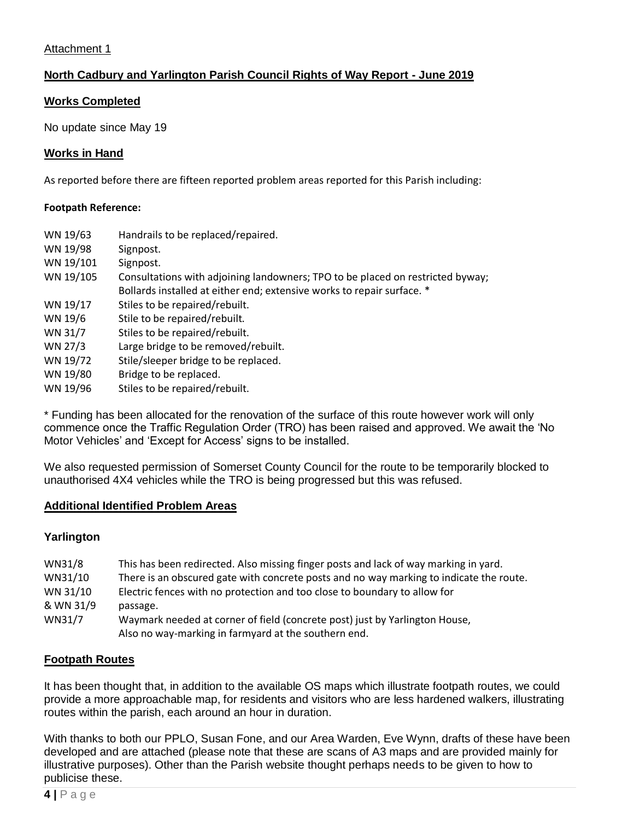## Attachment 1

## **North Cadbury and Yarlington Parish Council Rights of Way Report - June 2019**

## **Works Completed**

No update since May 19

## **Works in Hand**

As reported before there are fifteen reported problem areas reported for this Parish including:

### **Footpath Reference:**

| WN 19/63  | Handrails to be replaced/repaired.                                             |  |
|-----------|--------------------------------------------------------------------------------|--|
| WN 19/98  | Signpost.                                                                      |  |
| WN 19/101 | Signpost.                                                                      |  |
| WN 19/105 | Consultations with adjoining landowners; TPO to be placed on restricted byway; |  |
|           | Bollards installed at either end; extensive works to repair surface. *         |  |
| WN 19/17  | Stiles to be repaired/rebuilt.                                                 |  |
| WN 19/6   | Stile to be repaired/rebuilt.                                                  |  |
| WN 31/7   | Stiles to be repaired/rebuilt.                                                 |  |
| WN 27/3   | Large bridge to be removed/rebuilt.                                            |  |
| WN 19/72  | Stile/sleeper bridge to be replaced.                                           |  |
| WN 19/80  | Bridge to be replaced.                                                         |  |
| WN 19/96  | Stiles to be repaired/rebuilt.                                                 |  |

\* Funding has been allocated for the renovation of the surface of this route however work will only commence once the Traffic Regulation Order (TRO) has been raised and approved. We await the 'No Motor Vehicles' and 'Except for Access' signs to be installed.

We also requested permission of Somerset County Council for the route to be temporarily blocked to unauthorised 4X4 vehicles while the TRO is being progressed but this was refused.

## **Additional Identified Problem Areas**

## **Yarlington**

| WN31/8    | This has been redirected. Also missing finger posts and lack of way marking in yard.    |
|-----------|-----------------------------------------------------------------------------------------|
| WN31/10   | There is an obscured gate with concrete posts and no way marking to indicate the route. |
| WN 31/10  | Electric fences with no protection and too close to boundary to allow for               |
| & WN 31/9 | passage.                                                                                |
| WN31/7    | Waymark needed at corner of field (concrete post) just by Yarlington House,             |
|           | Also no way-marking in farmyard at the southern end.                                    |

## **Footpath Routes**

It has been thought that, in addition to the available OS maps which illustrate footpath routes, we could provide a more approachable map, for residents and visitors who are less hardened walkers, illustrating routes within the parish, each around an hour in duration.

With thanks to both our PPLO, Susan Fone, and our Area Warden, Eve Wynn, drafts of these have been developed and are attached (please note that these are scans of A3 maps and are provided mainly for illustrative purposes). Other than the Parish website thought perhaps needs to be given to how to publicise these.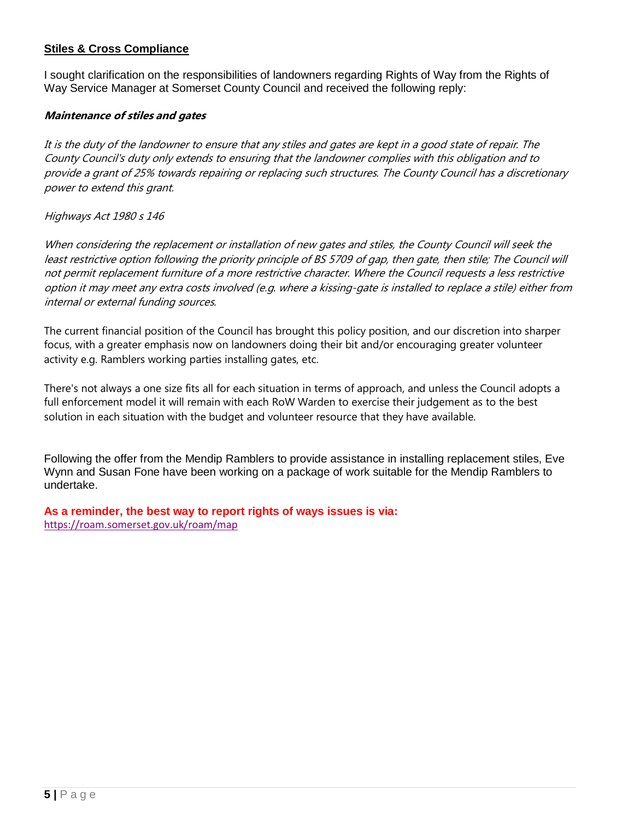## **Stiles & Cross Compliance**

I sought clarification on the responsibilities of landowners regarding Rights of Way from the Rights of Way Service Manager at Somerset County Council and received the following reply:

## **Maintenance of stiles and gates**

It is the duty of the landowner to ensure that any stiles and gates are kept in a good state of repair. The County Council's duty only extends to ensuring that the landowner complies with this obligation and to provide a grant of 25% towards repairing or replacing such structures. The County Council has a discretionary power to extend this grant.

## Highways Act 1980 s 146

When considering the replacement or installation of new gates and stiles, the County Council will seek the least restrictive option following the priority principle of BS 5709 of gap, then gate, then stile; The Council will not permit replacement furniture of a more restrictive character. Where the Council requests a less restrictive option it may meet any extra costs involved (e.g. where a kissing-gate is installed to replace a stile) either from internal or external funding sources.

The current financial position of the Council has brought this policy position, and our discretion into sharper focus, with a greater emphasis now on landowners doing their bit and/or encouraging greater volunteer activity e.g. Ramblers working parties installing gates, etc.

There's not always a one size fits all for each situation in terms of approach, and unless the Council adopts a full enforcement model it will remain with each RoW Warden to exercise their judgement as to the best solution in each situation with the budget and volunteer resource that they have available.

Following the offer from the Mendip Ramblers to provide assistance in installing replacement stiles, Eve Wynn and Susan Fone have been working on a package of work suitable for the Mendip Ramblers to undertake.

**As a reminder, the best way to report rights of ways issues is via:**  <https://roam.somerset.gov.uk/roam/map>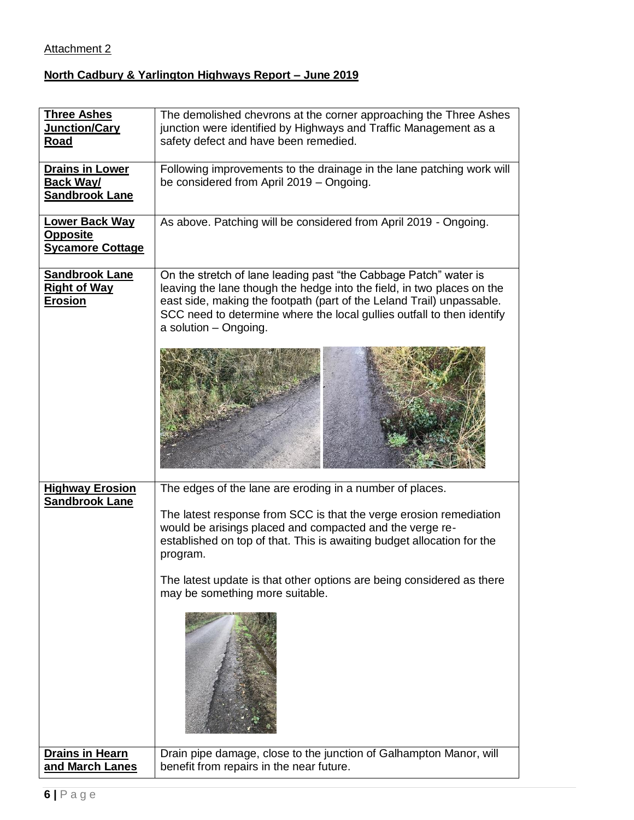# Attachment 2

# **North Cadbury & Yarlington Highways Report – June 2019**

| <b>Three Ashes</b><br>Junction/Cary<br><b>Road</b>                  | The demolished chevrons at the corner approaching the Three Ashes<br>junction were identified by Highways and Traffic Management as a<br>safety defect and have been remedied.                                                                                                                                                                                                               |
|---------------------------------------------------------------------|----------------------------------------------------------------------------------------------------------------------------------------------------------------------------------------------------------------------------------------------------------------------------------------------------------------------------------------------------------------------------------------------|
| <b>Drains in Lower</b><br><u>Back Way/</u><br><b>Sandbrook Lane</b> | Following improvements to the drainage in the lane patching work will<br>be considered from April 2019 - Ongoing.                                                                                                                                                                                                                                                                            |
| <b>Lower Back Way</b><br><b>Opposite</b><br><b>Sycamore Cottage</b> | As above. Patching will be considered from April 2019 - Ongoing.                                                                                                                                                                                                                                                                                                                             |
| <b>Sandbrook Lane</b><br><b>Right of Way</b><br><u>Erosion</u>      | On the stretch of lane leading past "the Cabbage Patch" water is<br>leaving the lane though the hedge into the field, in two places on the<br>east side, making the footpath (part of the Leland Trail) unpassable.<br>SCC need to determine where the local gullies outfall to then identify<br>a solution - Ongoing.                                                                       |
|                                                                     |                                                                                                                                                                                                                                                                                                                                                                                              |
| <b>Highway Erosion</b><br><b>Sandbrook Lane</b>                     | The edges of the lane are eroding in a number of places.<br>The latest response from SCC is that the verge erosion remediation<br>would be arisings placed and compacted and the verge re-<br>established on top of that. This is awaiting budget allocation for the<br>program.<br>The latest update is that other options are being considered as there<br>may be something more suitable. |
| <b>Drains in Hearn</b><br>and March Lanes                           | Drain pipe damage, close to the junction of Galhampton Manor, will<br>benefit from repairs in the near future.                                                                                                                                                                                                                                                                               |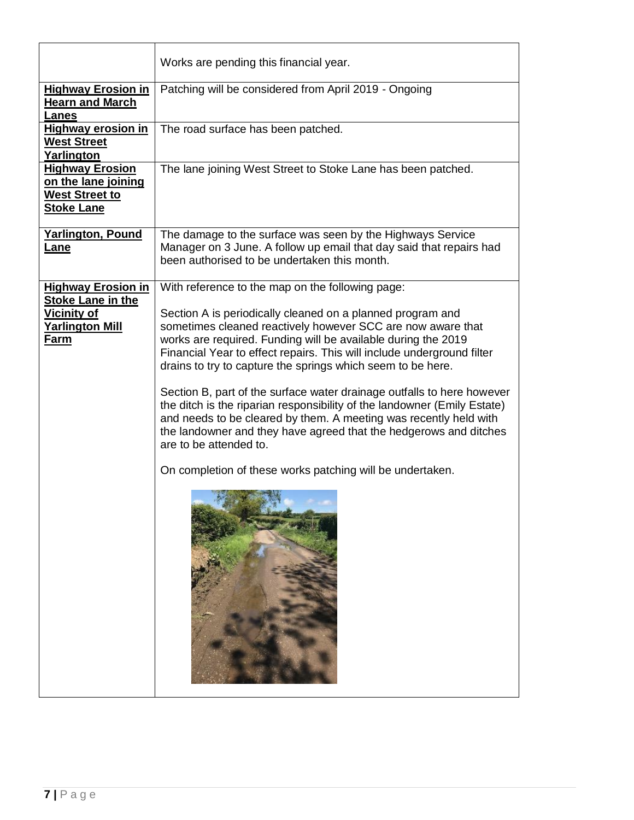|                                                                                             | Works are pending this financial year.                                                                                                                                                                                                                                                                                                                                                                                                                                                                                                                                                                                                                                                                                     |
|---------------------------------------------------------------------------------------------|----------------------------------------------------------------------------------------------------------------------------------------------------------------------------------------------------------------------------------------------------------------------------------------------------------------------------------------------------------------------------------------------------------------------------------------------------------------------------------------------------------------------------------------------------------------------------------------------------------------------------------------------------------------------------------------------------------------------------|
| <b>Highway Erosion in</b><br><b>Hearn and March</b><br><b>Lanes</b>                         | Patching will be considered from April 2019 - Ongoing                                                                                                                                                                                                                                                                                                                                                                                                                                                                                                                                                                                                                                                                      |
| <b>Highway erosion in</b><br><b>West Street</b><br>Yarlington                               | The road surface has been patched.                                                                                                                                                                                                                                                                                                                                                                                                                                                                                                                                                                                                                                                                                         |
| <b>Highway Erosion</b><br>on the lane joining<br><b>West Street to</b><br><b>Stoke Lane</b> | The lane joining West Street to Stoke Lane has been patched.                                                                                                                                                                                                                                                                                                                                                                                                                                                                                                                                                                                                                                                               |
| <b>Yarlington, Pound</b><br>Lane                                                            | The damage to the surface was seen by the Highways Service<br>Manager on 3 June. A follow up email that day said that repairs had<br>been authorised to be undertaken this month.                                                                                                                                                                                                                                                                                                                                                                                                                                                                                                                                          |
| <b>Highway Erosion in</b><br><b>Stoke Lane in the</b>                                       | With reference to the map on the following page:                                                                                                                                                                                                                                                                                                                                                                                                                                                                                                                                                                                                                                                                           |
| <b>Vicinity of</b><br><b>Yarlington Mill</b><br>Farm                                        | Section A is periodically cleaned on a planned program and<br>sometimes cleaned reactively however SCC are now aware that<br>works are required. Funding will be available during the 2019<br>Financial Year to effect repairs. This will include underground filter<br>drains to try to capture the springs which seem to be here.<br>Section B, part of the surface water drainage outfalls to here however<br>the ditch is the riparian responsibility of the landowner (Emily Estate)<br>and needs to be cleared by them. A meeting was recently held with<br>the landowner and they have agreed that the hedgerows and ditches<br>are to be attended to.<br>On completion of these works patching will be undertaken. |